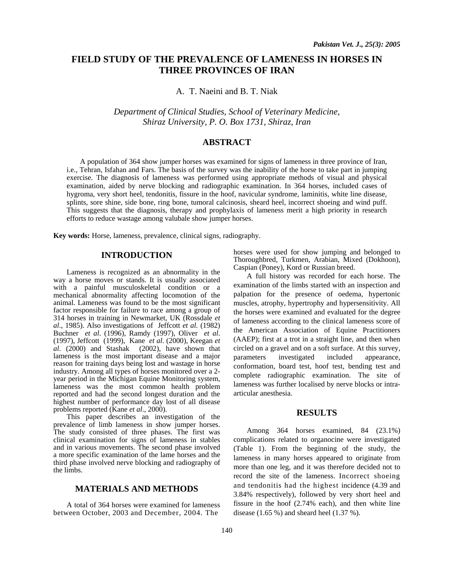# **FIELD STUDY OF THE PREVALENCE OF LAMENESS IN HORSES IN THREE PROVINCES OF IRAN**

A. T. Naeini and B. T. Niak

*Department of Clinical Studies, School of Veterinary Medicine, Shiraz University, P. O. Box 1731, Shiraz, Iran* 

# **ABSTRACT**

 A population of 364 show jumper horses was examined for signs of lameness in three province of Iran, i.e., Tehran, Isfahan and Fars. The basis of the survey was the inability of the horse to take part in jumping exercise. The diagnosis of lameness was performed using appropriate methods of visual and physical examination, aided by nerve blocking and radiographic examination. In 364 horses, included cases of hygroma, very short heel, tendonitis, fissure in the hoof, navicular syndrome, laminitis, white line disease, splints, sore shine, side bone, ring bone, tumoral calcinosis, sheard heel, incorrect shoeing and wind puff. This suggests that the diagnosis, therapy and prophylaxis of lameness merit a high priority in research efforts to reduce wastage among valubale show jumper horses.

**Key words:** Horse, lameness, prevalence, clinical signs, radiography.

# **INTRODUCTION**

Lameness is recognized as an abnormality in the way a horse moves or stands. It is usually associated with a painful musculoskeletal condition or a mechanical abnormality affecting locomotion of the animal. Lameness was found to be the most significant factor responsible for failure to race among a group of 314 horses in training in Newmarket, UK (Rossdale *et al*., 1985). Also investigations of Jeffcott *et al.* (1982) Buchner *et al*. (1996), Ramdy (1997), Oliver *et al*. (1997), Jeffcott (1999), Kane *et al*. (2000), Keegan *et*   $\alpha l$ . (2000) and Stashak (2002), have shown that lameness is the most important disease and a major reason for training days being lost and wastage in horse industry. Among all types of horses monitored over a 2 year period in the Michigan Equine Monitoring system, lameness was the most common health problem reported and had the second longest duration and the highest number of performance day lost of all disease problems reported (Kane *et al*., 2000).

This paper describes an investigation of the prevalence of limb lameness in show jumper horses. The study consisted of three phases. The first was clinical examination for signs of lameness in stables and in various movements. The second phase involved a more specific examination of the lame horses and the third phase involved nerve blocking and radiography of the limbs.

## **MATERIALS AND METHODS**

A total of 364 horses were examined for lameness between October, 2003 and December, 2004. The

horses were used for show jumping and belonged to Thoroughbred, Turkmen, Arabian, Mixed (Dokhoon), Caspian (Poney), Kord or Russian breed.

A full history was recorded for each horse. The examination of the limbs started with an inspection and palpation for the presence of oedema, hypertonic muscles, atrophy, hypertrophy and hypersensitivity. All the horses were examined and evaluated for the degree of lameness according to the clinical lameness score of the American Association of Equine Practitioners (AAEP); first at a trot in a straight line, and then when circled on a gravel and on a soft surface. At this survey, parameters investigated included appearance, conformation, board test, hoof test, bending test and complete radiographic examination. The site of lameness was further localised by nerve blocks or intraarticular anesthesia.

## **RESULTS**

Among 364 horses examined, 84 (23.1%) complications related to organocine were investigated (Table 1). From the beginning of the study, the lameness in many horses appeared to originate from more than one leg, and it was therefore decided not to record the site of the lameness. Incorrect shoeing and tendonitis had the highest incidence (4.39 and 3.84% respectively), followed by very short heel and fissure in the hoof (2.74% each), and then white line disease  $(1.65\%)$  and sheard heel  $(1.37\%)$ .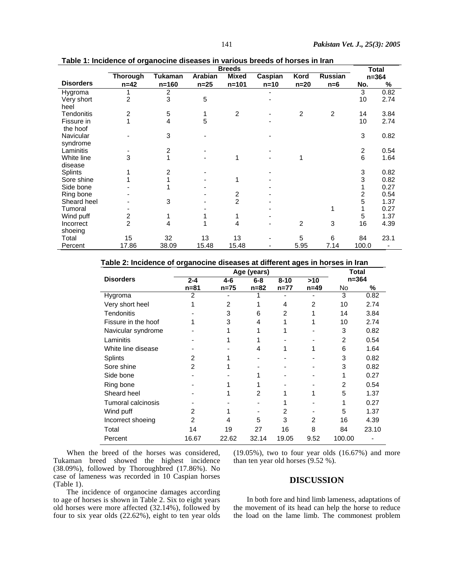|                  | <b>Breeds</b>   |                |                                                       |                         |        |        |           |                         | <b>Total</b> |  |
|------------------|-----------------|----------------|-------------------------------------------------------|-------------------------|--------|--------|-----------|-------------------------|--------------|--|
|                  | <b>Thorough</b> | <b>Tukaman</b> | <b>Mixed</b><br>Arabian<br>Kord<br>Russian<br>Caspian |                         |        |        | $n = 364$ |                         |              |  |
| <b>Disorders</b> | $n=42$          | $n = 160$      | $n=25$                                                | $n = 101$               | $n=10$ | $n=20$ | $n=6$     | No.                     | %            |  |
| Hygroma          |                 | $\overline{2}$ |                                                       |                         |        |        |           | 3                       | 0.82         |  |
| Very short       | 2               | 3              | 5                                                     |                         |        |        |           | 10                      | 2.74         |  |
| heel             |                 |                |                                                       |                         |        |        |           |                         |              |  |
| Tendonitis       | 2               | 5              | 1                                                     | 2                       |        | 2      | 2         | 14                      | 3.84         |  |
| Fissure in       |                 | 4              | 5                                                     |                         |        |        |           | 10                      | 2.74         |  |
| the hoof         |                 |                |                                                       |                         |        |        |           |                         |              |  |
| Navicular        |                 | 3              |                                                       |                         |        |        |           | 3                       | 0.82         |  |
| syndrome         |                 |                |                                                       |                         |        |        |           |                         |              |  |
| Laminitis        |                 | 2              |                                                       |                         |        |        |           | $\overline{\mathbf{c}}$ | 0.54         |  |
| White line       | 3               | 1              |                                                       | 1                       |        |        |           | 6                       | 1.64         |  |
| disease          |                 |                |                                                       |                         |        |        |           |                         |              |  |
| Splints          |                 | 2              |                                                       |                         |        |        |           | 3                       | 0.82         |  |
| Sore shine       |                 | 1              |                                                       | 1                       |        |        |           | 3                       | 0.82         |  |
| Side bone        |                 |                |                                                       |                         |        |        |           |                         | 0.27         |  |
| Ring bone        |                 |                |                                                       | $\overline{\mathbf{c}}$ |        |        |           | $\overline{c}$          | 0.54         |  |
| Sheard heel      |                 | 3              |                                                       | $\overline{2}$          |        |        |           | 5                       | 1.37         |  |
| Tumoral          |                 |                |                                                       |                         |        |        |           |                         | 0.27         |  |
| Wind puff        | 2               |                |                                                       |                         |        |        |           | 5                       | 1.37         |  |
| Incorrect        | $\overline{2}$  | 4              |                                                       | 4                       |        | 2      | 3         | 16                      | 4.39         |  |
| shoeing          |                 |                |                                                       |                         |        |        |           |                         |              |  |
| Total            | 15              | 32             | 13                                                    | 13                      |        | 5      | 6         | 84                      | 23.1         |  |
| Percent          | 17.86           | 38.09          | 15.48                                                 | 15.48                   |        | 5.95   | 7.14      | 100.0                   |              |  |

**Table 1: Incidence of organocine diseases in various breeds of horses in Iran**

#### **Table 2: Incidence of organocine diseases at different ages in horses in Iran**

|                     |          | <b>Total</b>   |        |                |        |           |       |  |
|---------------------|----------|----------------|--------|----------------|--------|-----------|-------|--|
| <b>Disorders</b>    | $2 - 4$  | 4-6<br>$6 - 8$ |        | $8 - 10$       | $>10$  | $n = 364$ |       |  |
|                     | $n = 81$ | $n = 75$       | $n=82$ | $n=77$         | $n=49$ | No        | %     |  |
| Hygroma             | 2        |                |        |                |        | 3         | 0.82  |  |
| Very short heel     |          | 2              |        | 4              | 2      | 10        | 2.74  |  |
| Tendonitis          |          | 3              | 6      | $\overline{2}$ |        | 14        | 3.84  |  |
| Fissure in the hoof |          | 3              | 4      |                |        | 10        | 2.74  |  |
| Navicular syndrome  |          |                |        |                |        | 3         | 0.82  |  |
| Laminitis           |          |                |        |                |        | 2         | 0.54  |  |
| White line disease  |          |                | 4      |                |        | 6         | 1.64  |  |
| Splints             | 2        |                |        |                |        | 3         | 0.82  |  |
| Sore shine          | 2        |                |        |                |        | 3         | 0.82  |  |
| Side bone           |          |                |        |                |        | 1         | 0.27  |  |
| Ring bone           |          |                |        |                |        | 2         | 0.54  |  |
| Sheard heel         |          |                | 2      | 1              |        | 5         | 1.37  |  |
| Tumoral calcinosis  |          |                |        |                |        | 1         | 0.27  |  |
| Wind puff           | 2        |                |        | 2              |        | 5         | 1.37  |  |
| Incorrect shoeing   | 2        | 4              | 5      | 3              | 2      | 16        | 4.39  |  |
| Total               | 14       | 19             | 27     | 16             | 8      | 84        | 23.10 |  |
| Percent             | 16.67    | 22.62          | 32.14  | 19.05          | 9.52   | 100.00    |       |  |

When the breed of the horses was considered, Tukaman breed showed the highest incidence (38.09%), followed by Thoroughbred (17.86%). No case of lameness was recorded in 10 Caspian horses (Table 1).

The incidence of organocine damages according to age of horses is shown in Table 2. Six to eight years old horses were more affected (32.14%), followed by four to six year olds (22.62%), eight to ten year olds

(19.05%), two to four year olds (16.67%) and more than ten year old horses (9.52 %).

# **DISCUSSION**

In both fore and hind limb lameness, adaptations of the movement of its head can help the horse to reduce the load on the lame limb. The commonest problem